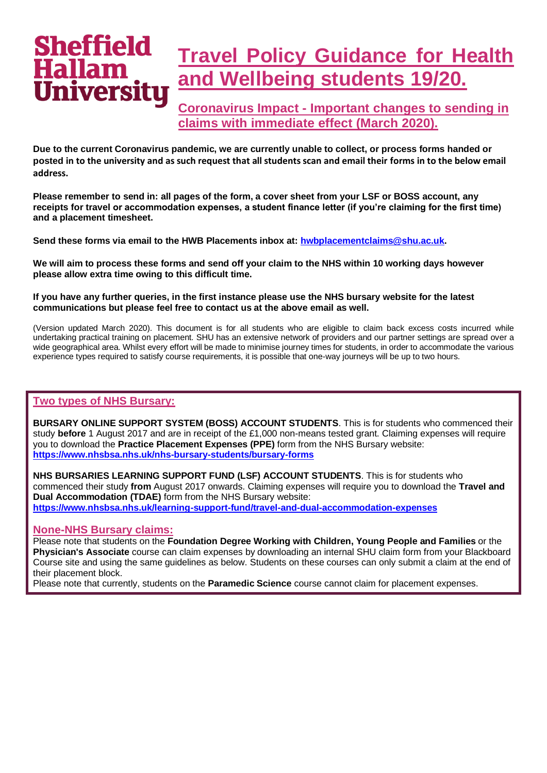## **Sheffield Travel Policy Guidance for Health**  Hallam **and Wellbeing students 19/20.** niversitu

**Coronavirus Impact - Important changes to sending in claims with immediate effect (March 2020).**

**Due to the current Coronavirus pandemic, we are currently unable to collect, or process forms handed or posted in to the university and as such request that all students scan and email their forms in to the below email address.**

**Please remember to send in: all pages of the form, a cover sheet from your LSF or BOSS account, any receipts for travel or accommodation expenses, a student finance letter (if you're claiming for the first time) and a placement timesheet.**

**Send these forms via email to the HWB Placements inbox at: [hwbplacementclaims@shu.ac.uk.](mailto:hwbplacementclaims@shu.ac.uk)**

**We will aim to process these forms and send off your claim to the NHS within 10 working days however please allow extra time owing to this difficult time.**

**If you have any further queries, in the first instance please use the NHS bursary website for the latest communications but please feel free to contact us at the above email as well.**

(Version updated March 2020). This document is for all students who are eligible to claim back excess costs incurred while undertaking practical training on placement. SHU has an extensive network of providers and our partner settings are spread over a wide geographical area. Whilst every effort will be made to minimise journey times for students, in order to accommodate the various experience types required to satisfy course requirements, it is possible that one-way journeys will be up to two hours.

## **Two types of NHS Bursary:**

**BURSARY ONLINE SUPPORT SYSTEM (BOSS) ACCOUNT STUDENTS**. This is for students who commenced their study **before** 1 August 2017 and are in receipt of the £1,000 non-means tested grant. Claiming expenses will require you to download the **Practice Placement Expenses (PPE)** form from the NHS Bursary website: **<https://www.nhsbsa.nhs.uk/nhs-bursary-students/bursary-forms>**

**NHS BURSARIES LEARNING SUPPORT FUND (LSF) ACCOUNT STUDENTS**. This is for students who commenced their study **from** August 2017 onwards. Claiming expenses will require you to download the **Travel and Dual Accommodation (TDAE)** form from the NHS Bursary website: **<https://www.nhsbsa.nhs.uk/learning-support-fund/travel-and-dual-accommodation-expenses>**

## **None-NHS Bursary claims:**

Please note that students on the **Foundation Degree Working with Children, Young People and Families** or the **Physician's Associate** course can claim expenses by downloading an internal SHU claim form from your Blackboard Course site and using the same guidelines as below. Students on these courses can only submit a claim at the end of their placement block.

Please note that currently, students on the **Paramedic Science** course cannot claim for placement expenses.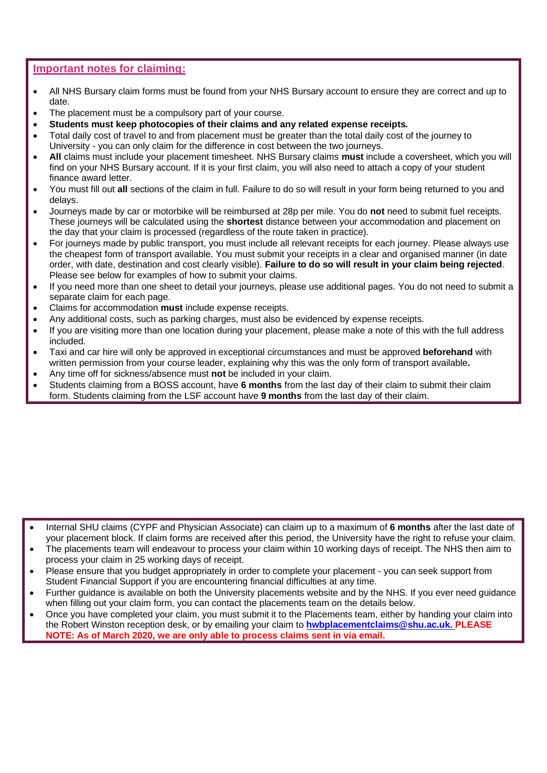## **Important notes for claiming:**

- All NHS Bursary claim forms must be found from your NHS Bursary account to ensure they are correct and up to date.
- The placement must be a compulsory part of your course.
- **Students must keep photocopies of their claims and any related expense receipts.**
- Total daily cost of travel to and from placement must be greater than the total daily cost of the journey to University - you can only claim for the difference in cost between the two journeys.
- **All** claims must include your placement timesheet. NHS Bursary claims **must** include a coversheet, which you will find on your NHS Bursary account. If it is your first claim, you will also need to attach a copy of your student finance award letter.
- You must fill out **all** sections of the claim in full. Failure to do so will result in your form being returned to you and delays.
- Journeys made by car or motorbike will be reimbursed at 28p per mile. You do **not** need to submit fuel receipts. These journeys will be calculated using the **shortest** distance between your accommodation and placement on the day that your claim is processed (regardless of the route taken in practice).
- For journeys made by public transport, you must include all relevant receipts for each journey. Please always use the cheapest form of transport available. You must submit your receipts in a clear and organised manner (in date order, with date, destination and cost clearly visible). **Failure to do so will result in your claim being rejected**. Please see below for examples of how to submit your claims.
- If you need more than one sheet to detail your journeys, please use additional pages. You do not need to submit a separate claim for each page.
- Claims for accommodation **must** include expense receipts.
- Any additional costs, such as parking charges, must also be evidenced by expense receipts.
- If you are visiting more than one location during your placement, please make a note of this with the full address included.
- Taxi and car hire will only be approved in exceptional circumstances and must be approved **beforehand** with written permission from your course leader, explaining why this was the only form of transport available**.**
- Any time off for sickness/absence must **not** be included in your claim.
- Students claiming from a BOSS account, have **6 months** from the last day of their claim to submit their claim form. Students claiming from the LSF account have **9 months** from the last day of their claim.

- Internal SHU claims (CYPF and Physician Associate) can claim up to a maximum of **6 months** after the last date of your placement block. If claim forms are received after this period, the University have the right to refuse your claim.
- The placements team will endeavour to process your claim within 10 working days of receipt. The NHS then aim to process your claim in 25 working days of receipt.
- Please ensure that you budget appropriately in order to complete your placement you can seek support from Student Financial Support if you are encountering financial difficulties at any time.
- Further guidance is available on both the University placements website and by the NHS. If you ever need guidance when filling out your claim form, you can contact the placements team on the details below.
- Once you have completed your claim, you must submit it to the Placements team, either by handing your claim into the Robert Winston reception desk, or by emailing your claim to **[hwbplacementclaims@shu.ac.uk.](mailto:hwbplacementclaims@shu.ac.uk) PLEASE NOTE: As of March 2020, we are only able to process claims sent in via email.**